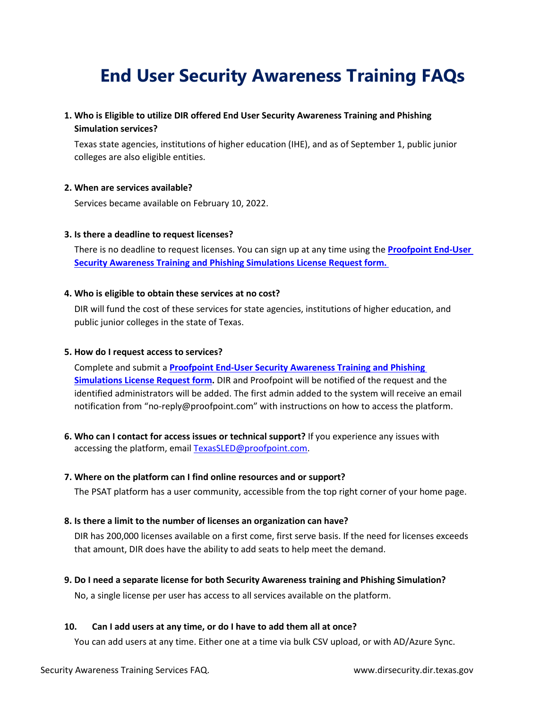# **End User Security Awareness Training FAQs**

## **1. Who is Eligible to utilize DIR offered End User Security Awareness Training and Phishing Simulation services?**

Texas state agencies, institutions of higher education (IHE), and as of September 1, public junior colleges are also eligible entities.

#### **2. When are services available?**

Services became available on February 10, 2022.

#### **3. Is there a deadline to request licenses?**

There is no deadline to request licenses. You can sign up at any time using the **[Proofpoint End-User](https://forms.office.com/pages/responsepage.aspx?id=RULhYoN6p0SX0A_ABTNowv1hxAP1V41BgfQpS3q6HY1UOThYV1hXOTVEOFdZNVFKUTIwWkFNM042Vi4u)  [Security Awareness Training and Phishing Simulations License Request form.](https://forms.office.com/pages/responsepage.aspx?id=RULhYoN6p0SX0A_ABTNowv1hxAP1V41BgfQpS3q6HY1UOThYV1hXOTVEOFdZNVFKUTIwWkFNM042Vi4u)** 

#### **4. Who is eligible to obtain these services at no cost?**

DIR will fund the cost of these services for state agencies, institutions of higher education, and public junior colleges in the state of Texas.

#### **5. How do I request access to services?**

Complete and submit a **[Proofpoint End-User Security Awareness Training and Phishing](https://forms.office.com/pages/responsepage.aspx?id=RULhYoN6p0SX0A_ABTNowv1hxAP1V41BgfQpS3q6HY1UOThYV1hXOTVEOFdZNVFKUTIwWkFNM042Vi4u)  [Simulations License Request form.](https://forms.office.com/pages/responsepage.aspx?id=RULhYoN6p0SX0A_ABTNowv1hxAP1V41BgfQpS3q6HY1UOThYV1hXOTVEOFdZNVFKUTIwWkFNM042Vi4u)** DIR and Proofpoint will be notified of the request and the identified administrators will be added. The first admin added to the system will receive an email notification from "no-reply@proofpoint.com" with instructions on how to access the platform.

**6. Who can I contact for access issues or technical support?** If you experience any issues with accessing the platform, email [TexasSLED@proofpoint.com.](mailto:TexasSLED@proofpoint.com)

#### **7. Where on the platform can I find online resources and or support?**

The PSAT platform has a user community, accessible from the top right corner of your home page.

## **8. Is there a limit to the number of licenses an organization can have?**

DIR has 200,000 licenses available on a first come, first serve basis. If the need for licenses exceeds that amount, DIR does have the ability to add seats to help meet the demand.

**9. Do I need a separate license for both Security Awareness training and Phishing Simulation?**

No, a single license per user has access to all services available on the platform.

## **10. Can I add users at any time, or do I have to add them all at once?**

You can add users at any time. Either one at a time via bulk CSV upload, or with AD/Azure Sync.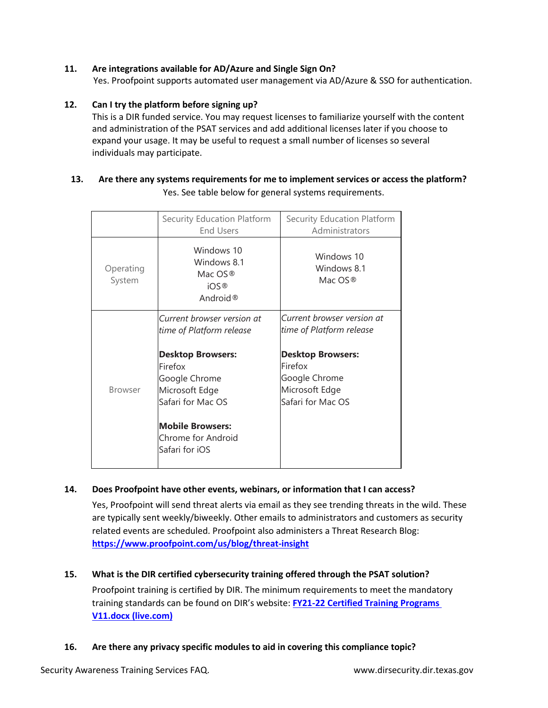## **11. Are integrations available for AD/Azure and Single Sign On?**

Yes. Proofpoint supports automated user management via AD/Azure & SSO for authentication.

#### **12. Can I try the platform before signing up?**

This is a DIR funded service. You may request licenses to familiarize yourself with the content and administration of the PSAT services and add additional licenses later if you choose to expand your usage. It may be useful to request a small number of licenses so several individuals may participate.

## **13. Are there any systems requirements for me to implement services or access the platform?** Yes. See table below for general systems requirements.

|                     | Security Education Platform<br><b>End Users</b>                                                                                                                                                                          | Security Education Platform<br>Administrators                                                                                                         |
|---------------------|--------------------------------------------------------------------------------------------------------------------------------------------------------------------------------------------------------------------------|-------------------------------------------------------------------------------------------------------------------------------------------------------|
| Operating<br>System | Windows 10<br>Windows 8.1<br>Mac OS <sup>®</sup><br>iOS <sup>®</sup><br>Android <sup>®</sup>                                                                                                                             | Windows 10<br>Windows 8.1<br>Mac OS <sup>®</sup>                                                                                                      |
| <b>Browser</b>      | Current browser version at<br>time of Platform release<br><b>Desktop Browsers:</b><br>Firefox<br>Google Chrome<br>Microsoft Edge<br>Safari for Mac OS<br><b>Mobile Browsers:</b><br>Chrome for Android<br>Safari for iOS | Current browser version at<br>time of Platform release<br><b>Desktop Browsers:</b><br>Firefox<br>Google Chrome<br>Microsoft Edge<br>Safari for Mac OS |

## **14. Does Proofpoint have other events, webinars, or information that I can access?**

Yes, Proofpoint will send threat alerts via email as they see trending threats in the wild. These are typically sent weekly/biweekly. Other emails to administrators and customers as security related events are scheduled. Proofpoint also administers a Threat Research Blog: **<https://www.proofpoint.com/us/blog/threat-insight>**

## **15. What is the DIR certified cybersecurity training offered through the PSAT solution?**  Proofpoint training is certified by DIR. The minimum requirements to meet the mandatory training standards can be found on DIR's website: **[FY21-22 Certified Training Programs](https://view.officeapps.live.com/op/view.aspx?src=https%3A%2F%2Fdir.texas.gov%2Fsites%2Fdefault%2Ffiles%2F2022-02%2FFY21-22%2520Certified%2520Training%2520Programs%2520V11.docx&wdOrigin=BROWSELINK)  [V11.docx \(live.com\)](https://view.officeapps.live.com/op/view.aspx?src=https%3A%2F%2Fdir.texas.gov%2Fsites%2Fdefault%2Ffiles%2F2022-02%2FFY21-22%2520Certified%2520Training%2520Programs%2520V11.docx&wdOrigin=BROWSELINK)**

## **16. Are there any privacy specific modules to aid in covering this compliance topic?**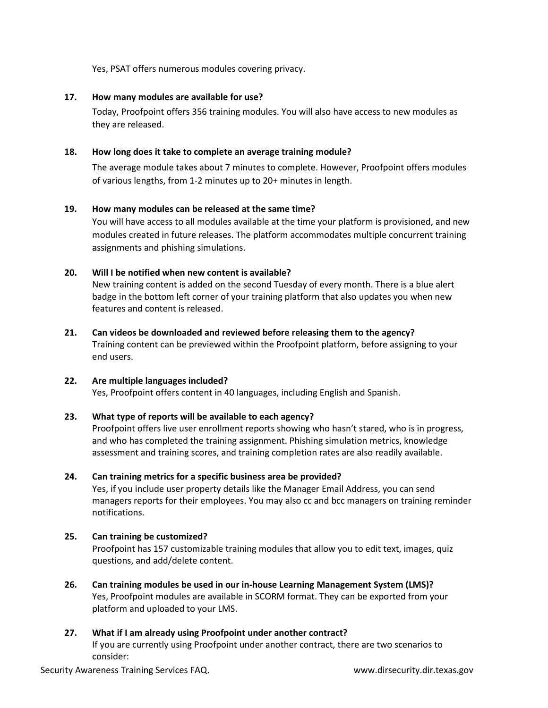Yes, PSAT offers numerous modules covering privacy.

#### **17. How many modules are available for use?**

Today, Proofpoint offers 356 training modules. You will also have access to new modules as they are released.

#### **18. How long does it take to complete an average training module?**

The average module takes about 7 minutes to complete. However, Proofpoint offers modules of various lengths, from 1-2 minutes up to 20+ minutes in length.

## **19. How many modules can be released at the same time?**

You will have access to all modules available at the time your platform is provisioned, and new modules created in future releases. The platform accommodates multiple concurrent training assignments and phishing simulations.

## **20. Will I be notified when new content is available?**

New training content is added on the second Tuesday of every month. There is a blue alert badge in the bottom left corner of your training platform that also updates you when new features and content is released.

## **21. Can videos be downloaded and reviewed before releasing them to the agency?** Training content can be previewed within the Proofpoint platform, before assigning to your end users.

#### **22. Are multiple languages included?**  Yes, Proofpoint offers content in 40 languages, including English and Spanish.

## **23. What type of reports will be available to each agency?**

Proofpoint offers live user enrollment reports showing who hasn't stared, who is in progress, and who has completed the training assignment. Phishing simulation metrics, knowledge assessment and training scores, and training completion rates are also readily available.

## **24. Can training metrics for a specific business area be provided?**

Yes, if you include user property details like the Manager Email Address, you can send managers reports for their employees. You may also cc and bcc managers on training reminder notifications.

## **25. Can training be customized?**

Proofpoint has 157 customizable training modules that allow you to edit text, images, quiz questions, and add/delete content.

**26. Can training modules be used in our in-house Learning Management System (LMS)?** Yes, Proofpoint modules are available in SCORM format. They can be exported from your platform and uploaded to your LMS.

## **27. What if I am already using Proofpoint under another contract?**

If you are currently using Proofpoint under another contract, there are two scenarios to consider: